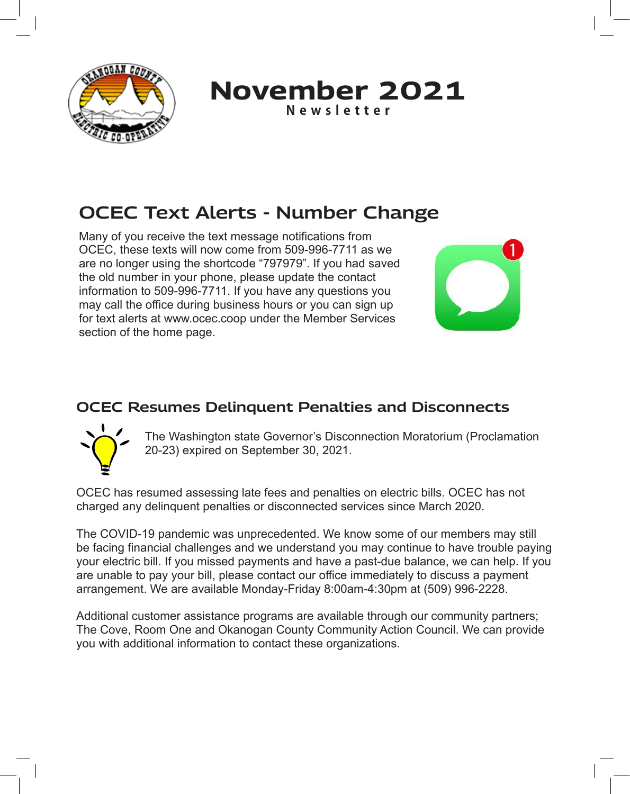

**November 2021 Newsletter**

# **OCEC Text Alerts - Number Change**

Many of you receive the text message notifications from OCEC, these texts will now come from 509-996-7711 as we are no longer using the shortcode "797979". If you had saved the old number in your phone, please update the contact information to 509-996-7711. If you have any questions you may call the office during business hours or you can sign up for text alerts at www.ocec.coop under the Member Services section of the home page.



#### **OCEC Resumes Delinquent Penalties and Disconnects**



The Washington state Governor's Disconnection Moratorium (Proclamation 20-23) expired on September 30, 2021.

OCEC has resumed assessing late fees and penalties on electric bills. OCEC has not charged any delinquent penalties or disconnected services since March 2020.

The COVID-19 pandemic was unprecedented. We know some of our members may still be facing financial challenges and we understand you may continue to have trouble paying your electric bill. If you missed payments and have a past-due balance, we can help. If you are unable to pay your bill, please contact our office immediately to discuss a payment arrangement. We are available Monday-Friday 8:00am-4:30pm at (509) 996-2228.

Additional customer assistance programs are available through our community partners; The Cove, Room One and Okanogan County Community Action Council. We can provide you with additional information to contact these organizations.